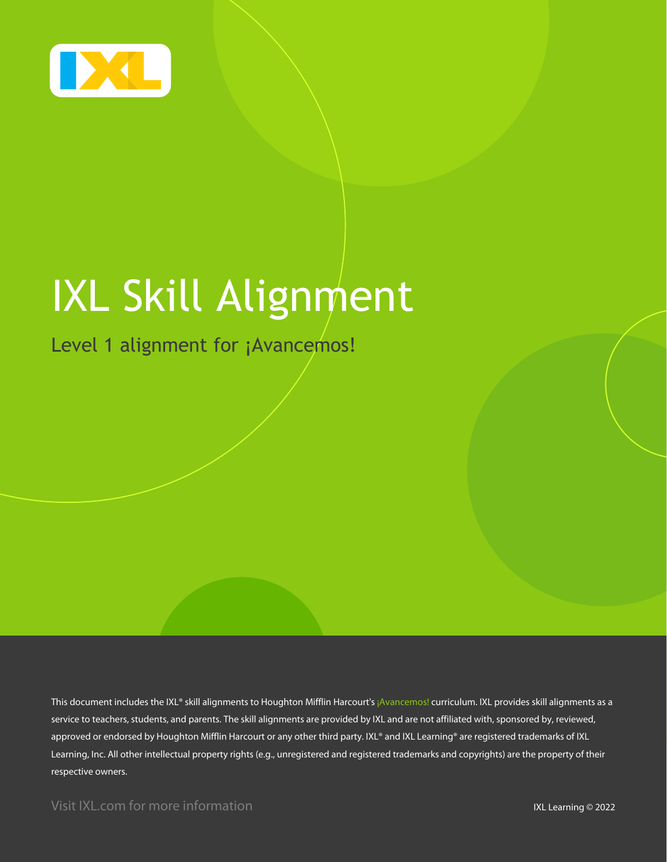

# IXL Skill Alignment

Level 1 alignment for ¡Avancemos!

This document includes the IXL® skill alignments to Houghton Mifflin Harcourt's ¡Avancemos! curriculum. IXL provides skill alignments as a service to teachers, students, and parents. The skill alignments are provided by IXL and are not affiliated with, sponsored by, reviewed, approved or endorsed by Houghton Mifflin Harcourt or any other third party. IXL® and IXL Learning® are registered trademarks of IXL Learning, Inc. All other intellectual property rights (e.g., unregistered and registered trademarks and copyrights) are the property of their respective owners.

Visit IXL.com for more information **IXL Learning © 2022**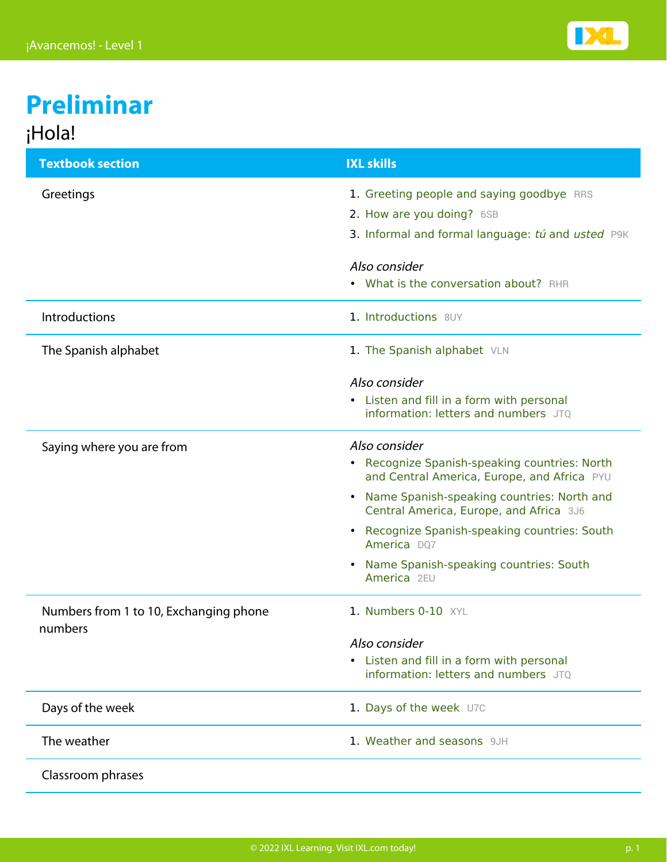

## **Preliminar** ¡Hola!

| <b>Textbook section</b>                           | <b>IXL skills</b>                                                                                  |
|---------------------------------------------------|----------------------------------------------------------------------------------------------------|
| Greetings                                         | 1. Greeting people and saying goodbye RRS                                                          |
|                                                   | 2. How are you doing? 6SB                                                                          |
|                                                   | 3. Informal and formal language: tú and usted P9K                                                  |
|                                                   | Also consider                                                                                      |
|                                                   | • What is the conversation about? RHR                                                              |
| <b>Introductions</b>                              | 1. Introductions 8UY                                                                               |
| The Spanish alphabet                              | 1. The Spanish alphabet VLN                                                                        |
|                                                   | Also consider                                                                                      |
|                                                   | • Listen and fill in a form with personal<br>information: letters and numbers JTO                  |
| Saying where you are from                         | Also consider                                                                                      |
|                                                   | • Recognize Spanish-speaking countries: North<br>and Central America, Europe, and Africa PYU       |
|                                                   | Name Spanish-speaking countries: North and<br>$\bullet$<br>Central America, Europe, and Africa 3J6 |
|                                                   | Recognize Spanish-speaking countries: South<br>$\bullet$<br>America DQ7                            |
|                                                   | Name Spanish-speaking countries: South<br>$\bullet$<br>America 2EU                                 |
| Numbers from 1 to 10, Exchanging phone<br>numbers | 1. Numbers 0-10 XYL                                                                                |
|                                                   | Also consider                                                                                      |
|                                                   | Listen and fill in a form with personal<br>$\bullet$<br>information: letters and numbers JTQ       |
| Days of the week                                  | 1. Days of the week U7C                                                                            |
| The weather                                       | 1. Weather and seasons 9JH                                                                         |
| Classroom phrases                                 |                                                                                                    |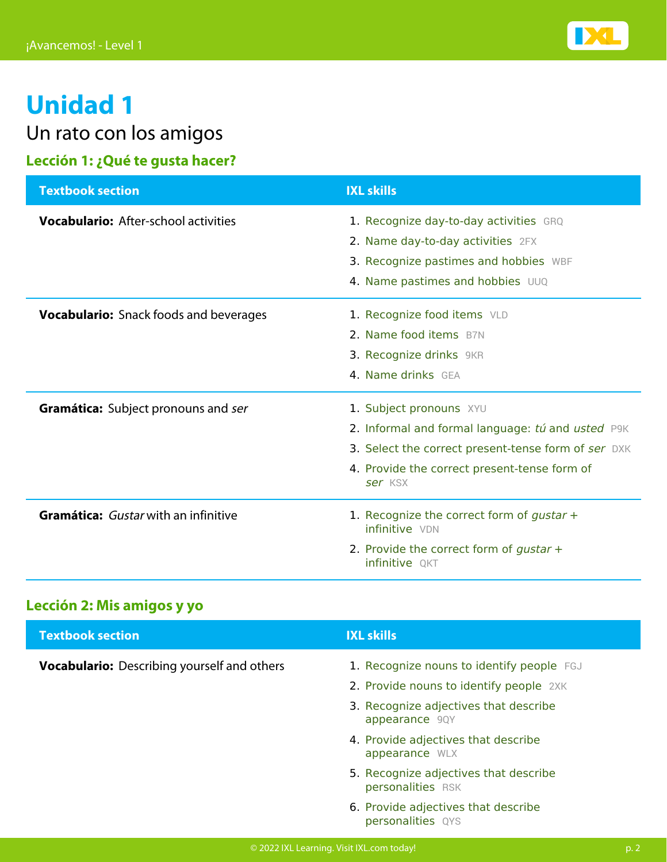

Un rato con los amigos

## **Lección 1: ¿Qué te gusta hacer?**

| <b>Textbook section</b>                       | <b>IXL skills</b>                                                                                                                                                                              |
|-----------------------------------------------|------------------------------------------------------------------------------------------------------------------------------------------------------------------------------------------------|
| <b>Vocabulario:</b> After-school activities   | 1. Recognize day-to-day activities GRQ<br>2. Name day-to-day activities 2FX<br>3. Recognize pastimes and hobbies WBF<br>4. Name pastimes and hobbies UUQ                                       |
| <b>Vocabulario:</b> Snack foods and beverages | 1. Recognize food items VLD<br>2. Name food items B7N<br>3. Recognize drinks 9KR<br>4. Name drinks GEA                                                                                         |
| <b>Gramática:</b> Subject pronouns and ser    | 1. Subject pronouns XYU<br>2. Informal and formal language: tú and usted P9K<br>3. Select the correct present-tense form of ser DXK<br>4. Provide the correct present-tense form of<br>ser KSX |
| Gramática: Gustar with an infinitive          | 1. Recognize the correct form of gustar $+$<br>infinitive VDN<br>2. Provide the correct form of gustar $+$<br>infinitive QKT                                                                   |

## **Lección 2: Mis amigos y yo**

| <b>Textbook section</b>                            | <b>IXL skills</b>                                          |
|----------------------------------------------------|------------------------------------------------------------|
| <b>Vocabulario:</b> Describing yourself and others | 1. Recognize nouns to identify people FGJ                  |
|                                                    | 2. Provide nouns to identify people 2XK                    |
|                                                    | 3. Recognize adjectives that describe<br>appearance 9QY    |
|                                                    | 4. Provide adjectives that describe<br>appearance WLX      |
|                                                    | 5. Recognize adjectives that describe<br>personalities RSK |
|                                                    | 6. Provide adjectives that describe<br>personalities QYS   |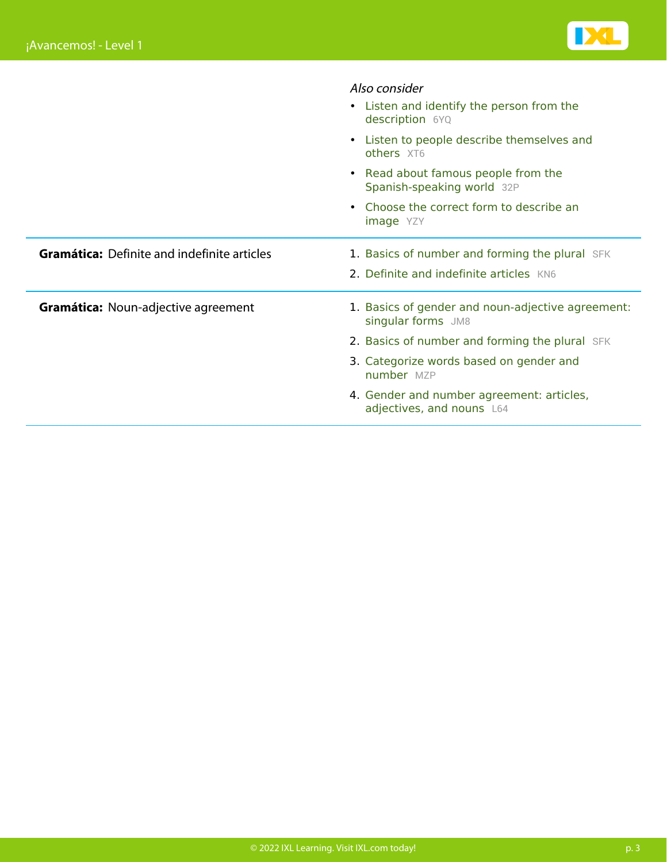

|                                                    | Also consider                                                           |
|----------------------------------------------------|-------------------------------------------------------------------------|
|                                                    | • Listen and identify the person from the<br>description 6YQ            |
|                                                    | • Listen to people describe themselves and<br>others XT6                |
|                                                    | • Read about famous people from the<br>Spanish-speaking world 32P       |
|                                                    | Choose the correct form to describe an<br><b>image</b> YZY              |
| <b>Gramática:</b> Definite and indefinite articles | 1. Basics of number and forming the plural SFK                          |
|                                                    | 2. Definite and indefinite articles KN6                                 |
| <b>Gramática: Noun-adjective agreement</b>         | 1. Basics of gender and noun-adjective agreement:<br>singular forms JM8 |
|                                                    | 2. Basics of number and forming the plural SFK                          |
|                                                    | 3. Categorize words based on gender and<br>number MZP                   |
|                                                    | 4. Gender and number agreement: articles,<br>adjectives, and nouns L64  |
|                                                    |                                                                         |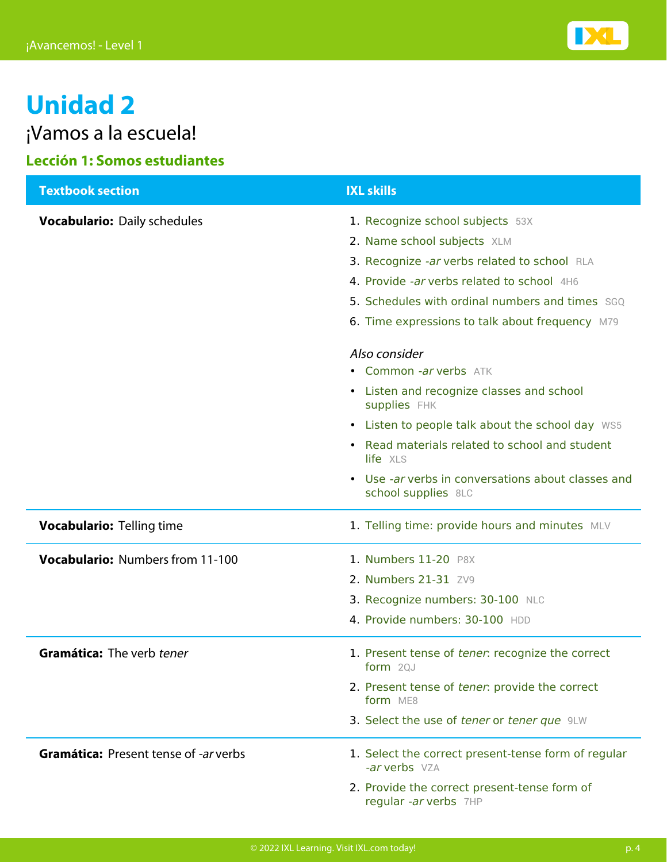

¡Vamos a la escuela!

## **Lección 1: Somos estudiantes**

| <b>Textbook section</b>                      | <b>IXL skills</b>                                                                                                                                                                                                                                                   |
|----------------------------------------------|---------------------------------------------------------------------------------------------------------------------------------------------------------------------------------------------------------------------------------------------------------------------|
| <b>Vocabulario: Daily schedules</b>          | 1. Recognize school subjects 53X<br>2. Name school subjects XLM<br>3. Recognize -ar verbs related to school RLA<br>4. Provide -ar verbs related to school 4H6<br>5. Schedules with ordinal numbers and times SGQ<br>6. Time expressions to talk about frequency M79 |
|                                              | Also consider<br>• Common -ar verbs ATK<br>• Listen and recognize classes and school<br>supplies FHK                                                                                                                                                                |
|                                              | • Listen to people talk about the school day WS5<br>• Read materials related to school and student<br>life XLS                                                                                                                                                      |
|                                              | • Use -ar verbs in conversations about classes and<br>school supplies 8LC                                                                                                                                                                                           |
| <b>Vocabulario: Telling time</b>             | 1. Telling time: provide hours and minutes MLV                                                                                                                                                                                                                      |
| <b>Vocabulario: Numbers from 11-100</b>      | 1. Numbers 11-20 P8X<br>2. Numbers 21-31 ZV9<br>3. Recognize numbers: 30-100 NLC<br>4. Provide numbers: 30-100 HDD                                                                                                                                                  |
| Gramática: The verb tener                    | 1. Present tense of tener: recognize the correct<br>form $2QJ$<br>2. Present tense of tener: provide the correct<br>form ME8<br>3. Select the use of tener or tener que 9LW                                                                                         |
| <b>Gramática: Present tense of -ar verbs</b> | 1. Select the correct present-tense form of regular<br>-ar verbs VZA<br>2. Provide the correct present-tense form of<br>regular -ar verbs 7HP                                                                                                                       |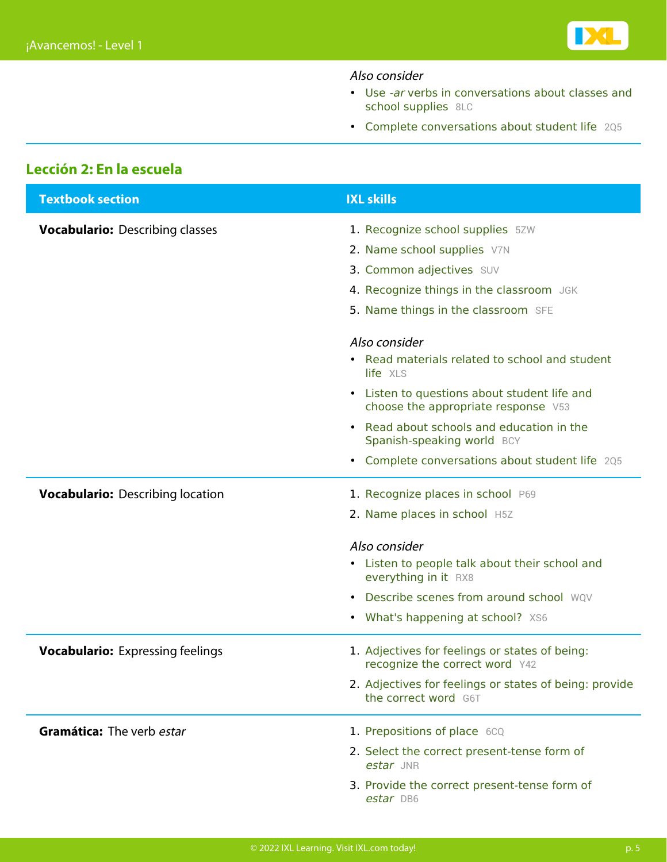

### Also consider

- [Use](https://www.ixl.com/spanish/level-1/use-ar-verbs-in-conversations-about-classes-and-school-supplies) [‑ar](https://www.ixl.com/spanish/level-1/use-ar-verbs-in-conversations-about-classes-and-school-supplies) [verbs in conversations about classes and](https://www.ixl.com/spanish/level-1/use-ar-verbs-in-conversations-about-classes-and-school-supplies) [school supplies](https://www.ixl.com/spanish/level-1/use-ar-verbs-in-conversations-about-classes-and-school-supplies) [8LC](https://www.ixl.com/spanish/level-1/use-ar-verbs-in-conversations-about-classes-and-school-supplies)
- [Complete conversations about student life](https://www.ixl.com/spanish/level-1/complete-conversations-about-student-life) [2Q5](https://www.ixl.com/spanish/level-1/complete-conversations-about-student-life)

### **Lección 2: En la escuela**

| <b>Textbook section</b>                 | <b>IXL skills</b>                                                                   |
|-----------------------------------------|-------------------------------------------------------------------------------------|
| <b>Vocabulario: Describing classes</b>  | 1. Recognize school supplies 5ZW                                                    |
|                                         | 2. Name school supplies V7N                                                         |
|                                         | 3. Common adjectives SUV                                                            |
|                                         | 4. Recognize things in the classroom JGK                                            |
|                                         | 5. Name things in the classroom SFE                                                 |
|                                         | Also consider                                                                       |
|                                         | • Read materials related to school and student<br>life XLS                          |
|                                         | • Listen to questions about student life and<br>choose the appropriate response V53 |
|                                         | Read about schools and education in the<br>Spanish-speaking world BCY               |
|                                         | • Complete conversations about student life 205                                     |
| <b>Vocabulario:</b> Describing location | 1. Recognize places in school P69                                                   |
|                                         | 2. Name places in school H5Z                                                        |
|                                         | Also consider                                                                       |
|                                         | • Listen to people talk about their school and<br>everything in it RX8              |
|                                         | • Describe scenes from around school WOV                                            |
|                                         | • What's happening at school? XS6                                                   |
| <b>Vocabulario:</b> Expressing feelings | 1. Adjectives for feelings or states of being:<br>recognize the correct word Y42    |
|                                         | 2. Adjectives for feelings or states of being: provide<br>the correct word G6T      |
| Gramática: The verb estar               | 1. Prepositions of place 6CQ                                                        |
|                                         | 2. Select the correct present-tense form of<br>estar JNR                            |
|                                         | 3. Provide the correct present-tense form of<br>estar DB6                           |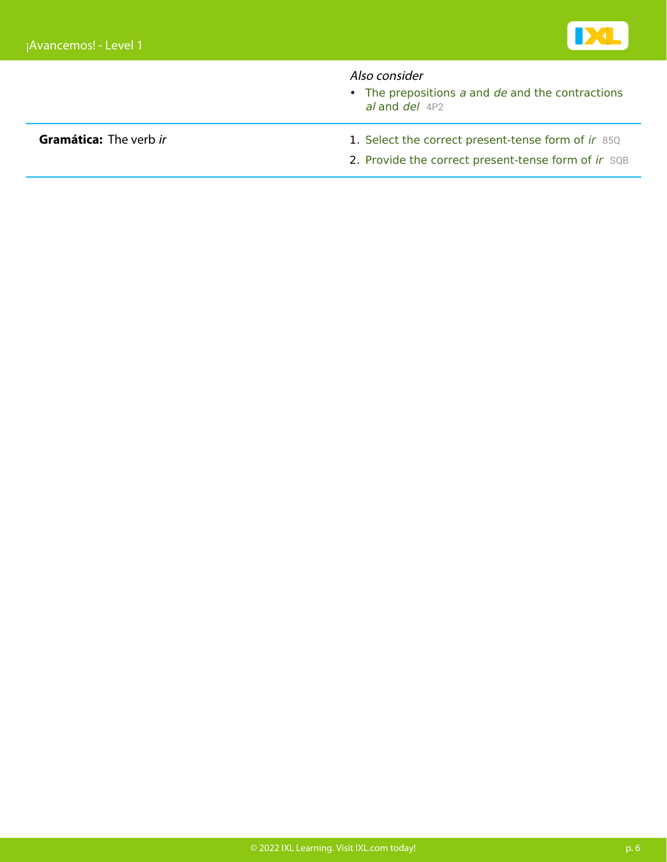

### Also consider

 $\bullet$  [The prepositions](https://www.ixl.com/spanish/level-1/the-prepositions-a-and-de-and-the-contractions-al-and-del)  $a$  [and](https://www.ixl.com/spanish/level-1/the-prepositions-a-and-de-and-the-contractions-al-and-del)  $de$  [and the contractions](https://www.ixl.com/spanish/level-1/the-prepositions-a-and-de-and-the-contractions-al-and-del) [al](https://www.ixl.com/spanish/level-1/the-prepositions-a-and-de-and-the-contractions-al-and-del) [and](https://www.ixl.com/spanish/level-1/the-prepositions-a-and-de-and-the-contractions-al-and-del) [del](https://www.ixl.com/spanish/level-1/the-prepositions-a-and-de-and-the-contractions-al-and-del) [4P2](https://www.ixl.com/spanish/level-1/the-prepositions-a-and-de-and-the-contractions-al-and-del)

- **Gramática:** The verb [ir](https://www.ixl.com/spanish/level-1/select-the-correct-present-tense-form-of-ir) 1. Select the correct present-tense form of ir [85Q](https://www.ixl.com/spanish/level-1/select-the-correct-present-tense-form-of-ir)
	- 2. Provide the correct present-tense form of  $ir$  sqB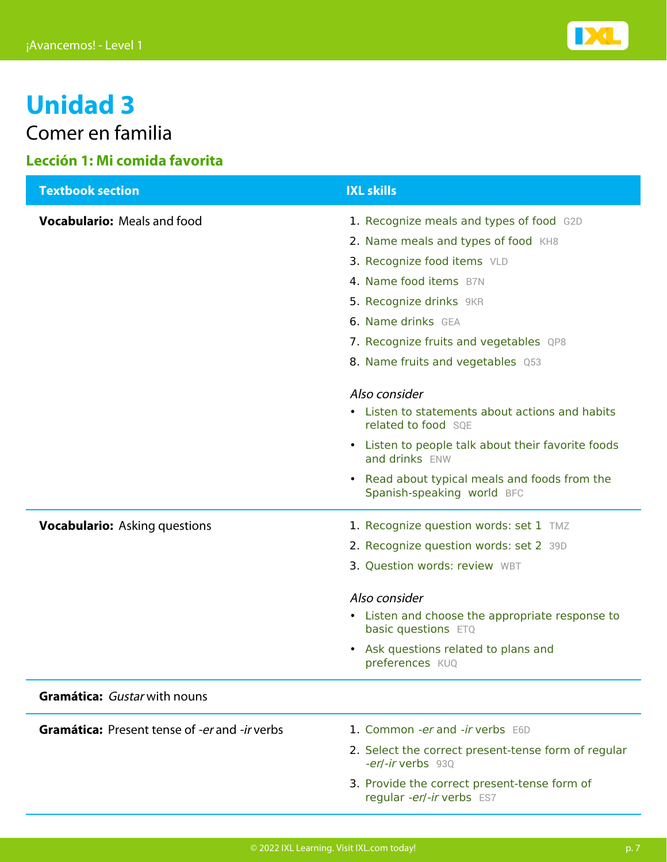

Comer en familia

## **Lección 1: Mi comida favorita**

| <b>Textbook section</b>                              | <b>IXL skills</b>                                                               |
|------------------------------------------------------|---------------------------------------------------------------------------------|
| <b>Vocabulario:</b> Meals and food                   | 1. Recognize meals and types of food G2D                                        |
|                                                      | 2. Name meals and types of food KH8                                             |
|                                                      | 3. Recognize food items VLD                                                     |
|                                                      | 4. Name food items B7N                                                          |
|                                                      | 5. Recognize drinks 9KR                                                         |
|                                                      | 6. Name drinks GEA                                                              |
|                                                      | 7. Recognize fruits and vegetables QP8                                          |
|                                                      | 8. Name fruits and vegetables Q53                                               |
|                                                      | Also consider                                                                   |
|                                                      | • Listen to statements about actions and habits<br>related to food SQE          |
|                                                      | Listen to people talk about their favorite foods<br>$\bullet$<br>and drinks ENW |
|                                                      | • Read about typical meals and foods from the<br>Spanish-speaking world BFC     |
| <b>Vocabulario:</b> Asking questions                 | 1. Recognize question words: set 1 TMZ                                          |
|                                                      | 2. Recognize question words: set 2 39D                                          |
|                                                      | 3. Question words: review WBT                                                   |
|                                                      | Also consider                                                                   |
|                                                      | • Listen and choose the appropriate response to<br>basic questions ETQ          |
|                                                      | Ask questions related to plans and<br>$\bullet$<br>preferences KUQ              |
| <b>Gramática:</b> Gustar with nouns                  |                                                                                 |
| <b>Gramática:</b> Present tense of -er and -ir verbs | 1. Common -er and -ir verbs E6D                                                 |
|                                                      | 2. Select the correct present-tense form of regular<br>-er/-ir verbs 93Q        |
|                                                      | 3. Provide the correct present-tense form of<br>regular -er/-ir verbs ES7       |
|                                                      |                                                                                 |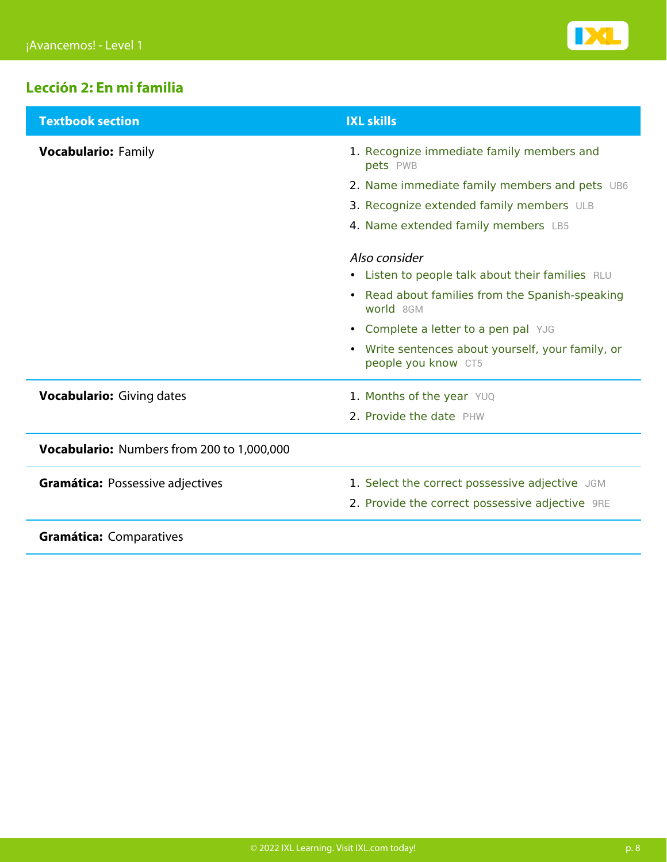

## **Lección 2: En mi familia**

| <b>Textbook section</b>                    | <b>IXL skills</b>                                                        |
|--------------------------------------------|--------------------------------------------------------------------------|
| <b>Vocabulario: Family</b>                 | 1. Recognize immediate family members and<br>pets PWB                    |
|                                            | 2. Name immediate family members and pets UB6                            |
|                                            | 3. Recognize extended family members ULB                                 |
|                                            | 4. Name extended family members LB5                                      |
|                                            | Also consider                                                            |
|                                            | • Listen to people talk about their families RLU                         |
|                                            | • Read about families from the Spanish-speaking<br>world 8GM             |
|                                            | • Complete a letter to a pen pal YJG                                     |
|                                            | • Write sentences about yourself, your family, or<br>people you know CT5 |
| <b>Vocabulario:</b> Giving dates           | 1. Months of the year YUQ                                                |
|                                            | 2. Provide the date PHW                                                  |
| Vocabulario: Numbers from 200 to 1,000,000 |                                                                          |
| <b>Gramática: Possessive adjectives</b>    | 1. Select the correct possessive adjective JGM                           |
|                                            | 2. Provide the correct possessive adjective 9RE                          |
| <b>Gramática: Comparatives</b>             |                                                                          |